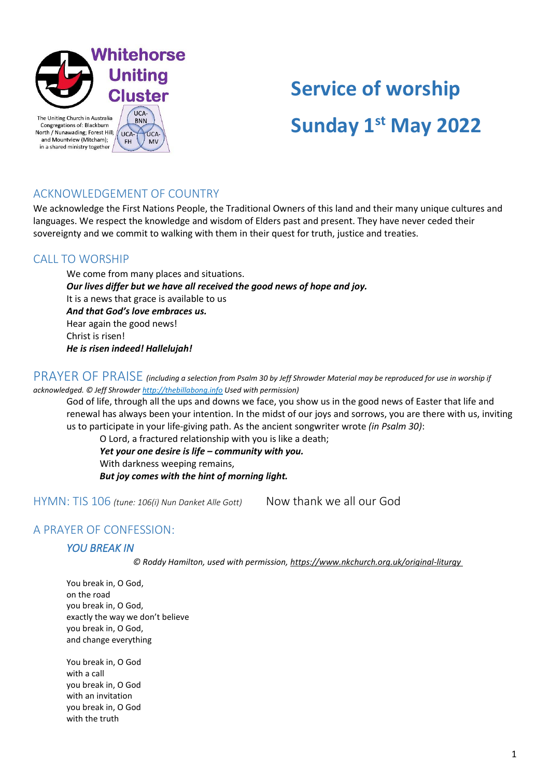

# **Service of worship Sunday 1st May 2022**

## ACKNOWLEDGEMENT OF COUNTRY

We acknowledge the First Nations People, the Traditional Owners of this land and their many unique cultures and languages. We respect the knowledge and wisdom of Elders past and present. They have never ceded their sovereignty and we commit to walking with them in their quest for truth, justice and treaties.

## CALL TO WORSHIP

We come from many places and situations. *Our lives differ but we have all received the good news of hope and joy.* It is a news that grace is available to us *And that God's love embraces us.* Hear again the good news! Christ is risen! *He is risen indeed! Hallelujah!*

PRAYER OF PRAISE *(including a selection from Psalm 30 by Jeff Shrowder Material may be reproduced for use in worship if acknowledged. © Jeff Shrowde[r http://thebillabong.info](http://thebillabong.info/) Used with permission)*

God of life, through all the ups and downs we face, you show us in the good news of Easter that life and renewal has always been your intention. In the midst of our joys and sorrows, you are there with us, inviting us to participate in your life-giving path. As the ancient songwriter wrote *(in Psalm 30)*:

O Lord, a fractured relationship with you is like a death; *Yet your one desire is life – community with you.* With darkness weeping remains, *But joy comes with the hint of morning light.*

HYMN: TIS 106 *(tune: 106(i) Nun Danket Alle Gott)* Now thank we all our God

## A PRAYER OF CONFESSION:

### *YOU BREAK IN*

*© Roddy Hamilton, used with permission, https://www.nkchurch.org.uk/original-liturgy*

You break in, O God, on the road you break in, O God, exactly the way we don't believe you break in, O God, and change everything

You break in, O God with a call you break in, O God with an invitation you break in, O God with the truth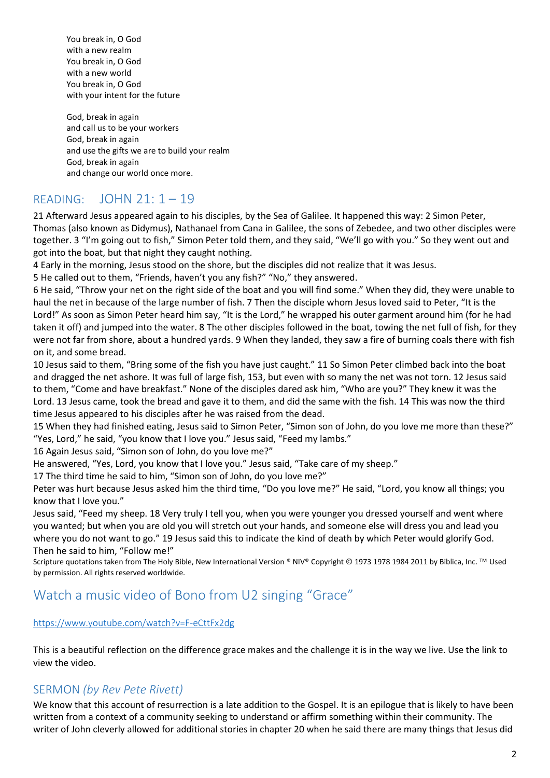You break in, O God with a new realm You break in, O God with a new world You break in, O God with your intent for the future

God, break in again and call us to be your workers God, break in again and use the gifts we are to build your realm God, break in again and change our world once more.

## READING: JOHN 21: 1 – 19

21 Afterward Jesus appeared again to his disciples, by the Sea of Galilee. It happened this way: 2 Simon Peter, Thomas (also known as Didymus), Nathanael from Cana in Galilee, the sons of Zebedee, and two other disciples were together. 3 "I'm going out to fish," Simon Peter told them, and they said, "We'll go with you." So they went out and got into the boat, but that night they caught nothing.

4 Early in the morning, Jesus stood on the shore, but the disciples did not realize that it was Jesus.

5 He called out to them, "Friends, haven't you any fish?" "No," they answered.

6 He said, "Throw your net on the right side of the boat and you will find some." When they did, they were unable to haul the net in because of the large number of fish. 7 Then the disciple whom Jesus loved said to Peter, "It is the Lord!" As soon as Simon Peter heard him say, "It is the Lord," he wrapped his outer garment around him (for he had taken it off) and jumped into the water. 8 The other disciples followed in the boat, towing the net full of fish, for they were not far from shore, about a hundred yards. 9 When they landed, they saw a fire of burning coals there with fish on it, and some bread.

10 Jesus said to them, "Bring some of the fish you have just caught." 11 So Simon Peter climbed back into the boat and dragged the net ashore. It was full of large fish, 153, but even with so many the net was not torn. 12 Jesus said to them, "Come and have breakfast." None of the disciples dared ask him, "Who are you?" They knew it was the Lord. 13 Jesus came, took the bread and gave it to them, and did the same with the fish. 14 This was now the third time Jesus appeared to his disciples after he was raised from the dead.

15 When they had finished eating, Jesus said to Simon Peter, "Simon son of John, do you love me more than these?" "Yes, Lord," he said, "you know that I love you." Jesus said, "Feed my lambs."

16 Again Jesus said, "Simon son of John, do you love me?"

He answered, "Yes, Lord, you know that I love you." Jesus said, "Take care of my sheep."

17 The third time he said to him, "Simon son of John, do you love me?"

Peter was hurt because Jesus asked him the third time, "Do you love me?" He said, "Lord, you know all things; you know that I love you."

Jesus said, "Feed my sheep. 18 Very truly I tell you, when you were younger you dressed yourself and went where you wanted; but when you are old you will stretch out your hands, and someone else will dress you and lead you where you do not want to go." 19 Jesus said this to indicate the kind of death by which Peter would glorify God. Then he said to him, "Follow me!"

Scripture quotations taken from The Holy Bible, New International Version ® NIV® Copyright © 1973 1978 1984 2011 by Biblica, Inc. ™ Used by permission. All rights reserved worldwide.

## Watch a music video of Bono from U2 singing "Grace"

### <https://www.youtube.com/watch?v=F-eCttFx2dg>

This is a beautiful reflection on the difference grace makes and the challenge it is in the way we live. Use the link to view the video.

## SERMON *(by Rev Pete Rivett)*

We know that this account of resurrection is a late addition to the Gospel. It is an epilogue that is likely to have been written from a context of a community seeking to understand or affirm something within their community. The writer of John cleverly allowed for additional stories in chapter 20 when he said there are many things that Jesus did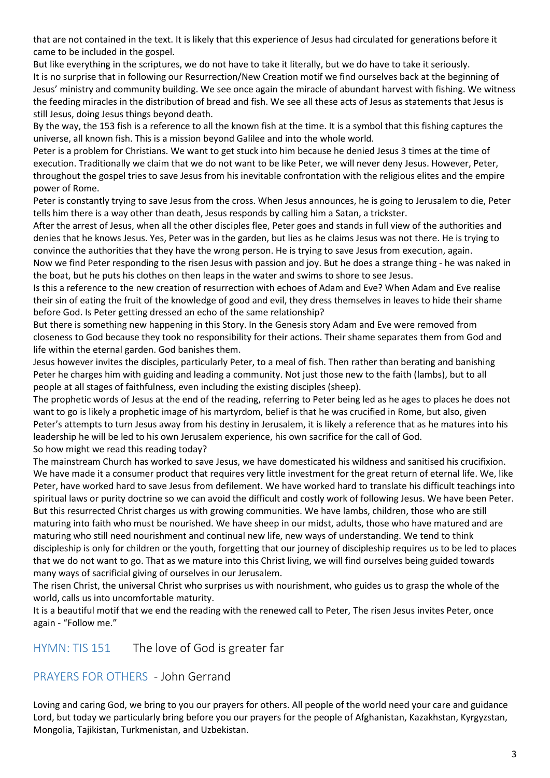that are not contained in the text. It is likely that this experience of Jesus had circulated for generations before it came to be included in the gospel.

But like everything in the scriptures, we do not have to take it literally, but we do have to take it seriously. It is no surprise that in following our Resurrection/New Creation motif we find ourselves back at the beginning of Jesus' ministry and community building. We see once again the miracle of abundant harvest with fishing. We witness the feeding miracles in the distribution of bread and fish. We see all these acts of Jesus as statements that Jesus is still Jesus, doing Jesus things beyond death.

By the way, the 153 fish is a reference to all the known fish at the time. It is a symbol that this fishing captures the universe, all known fish. This is a mission beyond Galilee and into the whole world.

Peter is a problem for Christians. We want to get stuck into him because he denied Jesus 3 times at the time of execution. Traditionally we claim that we do not want to be like Peter, we will never deny Jesus. However, Peter, throughout the gospel tries to save Jesus from his inevitable confrontation with the religious elites and the empire power of Rome.

Peter is constantly trying to save Jesus from the cross. When Jesus announces, he is going to Jerusalem to die, Peter tells him there is a way other than death, Jesus responds by calling him a Satan, a trickster.

After the arrest of Jesus, when all the other disciples flee, Peter goes and stands in full view of the authorities and denies that he knows Jesus. Yes, Peter was in the garden, but lies as he claims Jesus was not there. He is trying to convince the authorities that they have the wrong person. He is trying to save Jesus from execution, again.

Now we find Peter responding to the risen Jesus with passion and joy. But he does a strange thing - he was naked in the boat, but he puts his clothes on then leaps in the water and swims to shore to see Jesus.

Is this a reference to the new creation of resurrection with echoes of Adam and Eve? When Adam and Eve realise their sin of eating the fruit of the knowledge of good and evil, they dress themselves in leaves to hide their shame before God. Is Peter getting dressed an echo of the same relationship?

But there is something new happening in this Story. In the Genesis story Adam and Eve were removed from closeness to God because they took no responsibility for their actions. Their shame separates them from God and life within the eternal garden. God banishes them.

Jesus however invites the disciples, particularly Peter, to a meal of fish. Then rather than berating and banishing Peter he charges him with guiding and leading a community. Not just those new to the faith (lambs), but to all people at all stages of faithfulness, even including the existing disciples (sheep).

The prophetic words of Jesus at the end of the reading, referring to Peter being led as he ages to places he does not want to go is likely a prophetic image of his martyrdom, belief is that he was crucified in Rome, but also, given Peter's attempts to turn Jesus away from his destiny in Jerusalem, it is likely a reference that as he matures into his leadership he will be led to his own Jerusalem experience, his own sacrifice for the call of God. So how might we read this reading today?

The mainstream Church has worked to save Jesus, we have domesticated his wildness and sanitised his crucifixion. We have made it a consumer product that requires very little investment for the great return of eternal life. We, like Peter, have worked hard to save Jesus from defilement. We have worked hard to translate his difficult teachings into spiritual laws or purity doctrine so we can avoid the difficult and costly work of following Jesus. We have been Peter. But this resurrected Christ charges us with growing communities. We have lambs, children, those who are still maturing into faith who must be nourished. We have sheep in our midst, adults, those who have matured and are maturing who still need nourishment and continual new life, new ways of understanding. We tend to think discipleship is only for children or the youth, forgetting that our journey of discipleship requires us to be led to places that we do not want to go. That as we mature into this Christ living, we will find ourselves being guided towards many ways of sacrificial giving of ourselves in our Jerusalem.

The risen Christ, the universal Christ who surprises us with nourishment, who guides us to grasp the whole of the world, calls us into uncomfortable maturity.

It is a beautiful motif that we end the reading with the renewed call to Peter, The risen Jesus invites Peter, once again - "Follow me."

HYMN: TIS 151 The love of God is greater far

PRAYERS FOR OTHERS - John Gerrand

Loving and caring God, we bring to you our prayers for others. All people of the world need your care and guidance Lord, but today we particularly bring before you our prayers for the people of Afghanistan, Kazakhstan, Kyrgyzstan, Mongolia, Tajikistan, Turkmenistan, and Uzbekistan.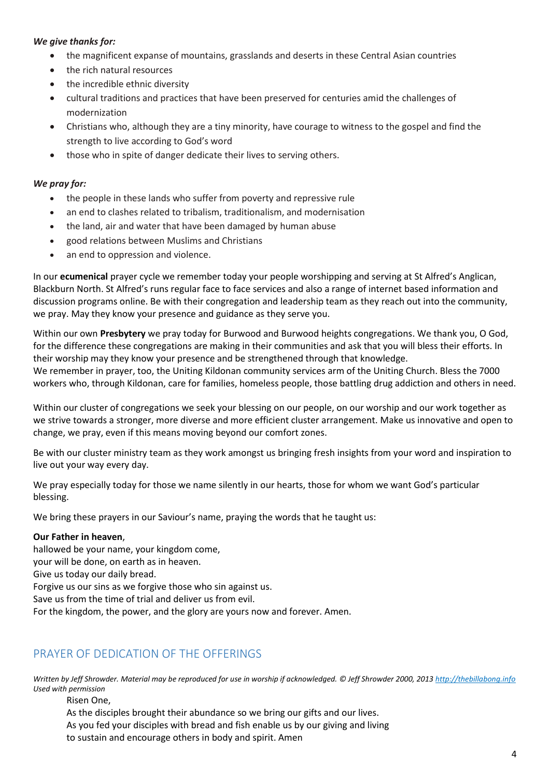### *We give thanks for:*

- the magnificent expanse of mountains, grasslands and deserts in these Central Asian countries
- the rich natural resources
- the incredible ethnic diversity
- cultural traditions and practices that have been preserved for centuries amid the challenges of modernization
- Christians who, although they are a tiny minority, have courage to witness to the gospel and find the strength to live according to God's word
- those who in spite of danger dedicate their lives to serving others.

### *We pray for:*

- the people in these lands who suffer from poverty and repressive rule
- an end to clashes related to tribalism, traditionalism, and modernisation
- the land, air and water that have been damaged by human abuse
- good relations between Muslims and Christians
- an end to oppression and violence.

In our **ecumenical** prayer cycle we remember today your people worshipping and serving at St Alfred's Anglican, Blackburn North. St Alfred's runs regular face to face services and also a range of internet based information and discussion programs online. Be with their congregation and leadership team as they reach out into the community, we pray. May they know your presence and guidance as they serve you.

Within our own **Presbytery** we pray today for Burwood and Burwood heights congregations. We thank you, O God, for the difference these congregations are making in their communities and ask that you will bless their efforts. In their worship may they know your presence and be strengthened through that knowledge. We remember in prayer, too, the Uniting Kildonan community services arm of the Uniting Church. Bless the 7000 workers who, through Kildonan, care for families, homeless people, those battling drug addiction and others in need.

Within our cluster of congregations we seek your blessing on our people, on our worship and our work together as we strive towards a stronger, more diverse and more efficient cluster arrangement. Make us innovative and open to change, we pray, even if this means moving beyond our comfort zones.

Be with our cluster ministry team as they work amongst us bringing fresh insights from your word and inspiration to live out your way every day.

We pray especially today for those we name silently in our hearts, those for whom we want God's particular blessing.

We bring these prayers in our Saviour's name, praying the words that he taught us:

### **Our Father in heaven**,

hallowed be your name, your kingdom come,

your will be done, on earth as in heaven.

Give us today our daily bread.

Forgive us our sins as we forgive those who sin against us.

Save us from the time of trial and deliver us from evil.

For the kingdom, the power, and the glory are yours now and forever. Amen.

## PRAYER OF DEDICATION OF THE OFFERINGS

*Written by Jeff Shrowder. Material may be reproduced for use in worship if acknowledged. © Jeff Shrowder 2000, 201[3 http://thebillabong.info](http://thebillabong.info/) Used with permission*

Risen One,

As the disciples brought their abundance so we bring our gifts and our lives. As you fed your disciples with bread and fish enable us by our giving and living

to sustain and encourage others in body and spirit. Amen